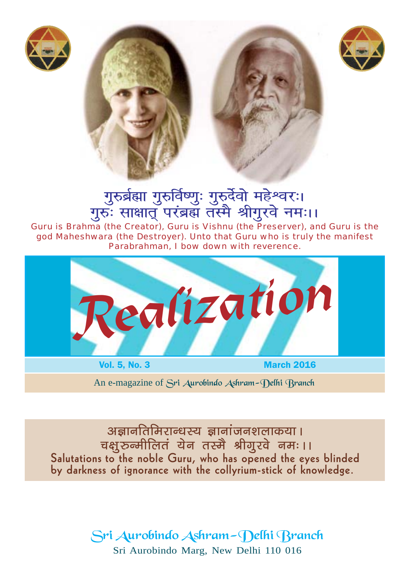





Guru is Brahma (the Creator), Guru is Vishnu (the Preserver), and Guru is the god Maheshwara (the Destroyer). Unto that Guru who is truly the manifest Parabrahman, I bow down with reverence.



An e-magazine of Sri Aurobindo Ashram-Delhi Branch

् अज्ञानतिमिरान्धस्य ज्ञानांजनशलाकया।<br>चक्षुरुन्मीलितं येन तस्मै श्रीगुरवे नमः।। Salutations to the noble Guru, who has opened the eyes blinded **by darkness of ignorance with the collyrium-stick of knowledge.**

> Sri Aurobindo Ashram-Delhi Branch Sri Aurobindo Marg, New Delhi 110 016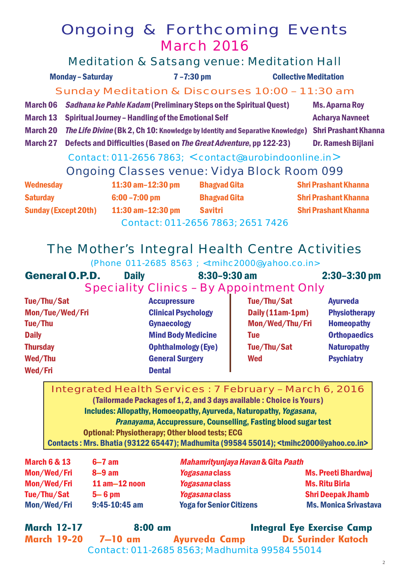# Ongoing & Forthcoming Events March 2016

### Meditation & *Satsang* venue: Meditation Hall

| <b>Monday - Saturday</b>    |                                                                                                                                   |                                                                                     | $7 - 7:30$ pm       |  | <b>Collective Meditation</b> |  |
|-----------------------------|-----------------------------------------------------------------------------------------------------------------------------------|-------------------------------------------------------------------------------------|---------------------|--|------------------------------|--|
|                             |                                                                                                                                   | Sunday Meditation & Discourses 10:00 - 11:30 am                                     |                     |  |                              |  |
| <b>March 06</b>             |                                                                                                                                   | <b>Sadhana ke Pahle Kadam (Preliminary Steps on the Spiritual Quest)</b>            |                     |  | <b>Ms. Aparna Roy</b>        |  |
| <b>March 13</b>             |                                                                                                                                   | <b>Spiritual Journey - Handling of the Emotional Self</b><br><b>Acharya Navneet</b> |                     |  |                              |  |
| <b>March 20</b>             | <b>The Life Divine (Bk 2, Ch 10: Knowledge by Identity and Separative Knowledge)</b><br><b>Shri Prashant Khanna</b>               |                                                                                     |                     |  |                              |  |
| <b>March 27</b>             |                                                                                                                                   | Defects and Difficulties (Based on The Great Adventure, pp 122-23)                  |                     |  | <b>Dr. Ramesh Bijlani</b>    |  |
|                             | Contact: 011-2656 7863; <contact@aurobindoonline.in><br/>Ongoing Classes venue: Vidya Block Room 099</contact@aurobindoonline.in> |                                                                                     |                     |  |                              |  |
|                             |                                                                                                                                   |                                                                                     |                     |  |                              |  |
| <b>Wednesday</b>            |                                                                                                                                   | 11:30 am-12:30 pm                                                                   | <b>Bhagvad Gita</b> |  | <b>Shri Prashant Khanna</b>  |  |
| <b>Saturday</b>             |                                                                                                                                   | $6:00 - 7:00$ pm                                                                    | <b>Bhagvad Gita</b> |  | <b>Shri Prashant Khanna</b>  |  |
| <b>Sunday (Except 20th)</b> |                                                                                                                                   | 11:30 am-12:30 pm                                                                   | <b>Savitri</b>      |  | <b>Shri Prashant Khanna</b>  |  |
|                             |                                                                                                                                   | Contact: 011-2656 7863; 2651 7426                                                   |                     |  |                              |  |

# The Mother's Integral Health Centre Activities

(Phone 011-2685 8563 ; <tmihc2000@yahoo.co.in>

General O.P.D. Daily 8:30–9:30 am 2:30–3:30 pm

Speciality Clinics – By Appointment Only

Tue/Thu/Sat Accupressure Tue/Thu/Sat Ayurveda Mon/Tue/Wed/Fri Clinical Psychology Daily (11am-1pm) Physiotherapy Tue/Thu Gynaecology Mon/Wed/Thu/Fri Homeopathy Daily **Daily** Mind Body Medicine **Tue Contract Contract Contract Contract Contract Contract Contract Contract Contract Contract Contract Contract Contract Contract Contract Contract Contract Contract Contract Contract Co** Thursday Ophthalmology (Eye) Tue/Thu/Sat Naturopathy **Wed/Thu General Surgery Constants Constants Constants Constants Constants Constants Constants Constants Constants Psychiatry** Wed/Fri Dental

#### Integrated Health Services : 7 February – March 6, 2016

(Tailormade Packages of 1, 2, and 3 days available : Choice is Yours) Includes: Allopathy, Homoeopathy, Ayurveda, Naturopathy, Yogasana, Pranayama, Accupressure, Counselling, Fasting blood sugar test Optional: Physiotherapy; Other blood tests; ECG

Contacts : Mrs. Bhatia (93122 65447); Madhumita (99584 55014); <tmihc2000@yahoo.co.in>

March 6 & 13 6–7 am Mahamrityunjaya Havan & Gita Paath

Mon/Wed/Fri 8–9 am *Yogasana* class Mon/Wed/Fri 8–9 am *Yogasana* class Ms. Preeti Bhardwai Mon/Wed/Fri 11 am–12 noon *Yogasana* class Ms. Ritu Birla Tue/Thu/Sat 5– 6 pm *Yogasana* class Shri Deepak Jhamb

Mon/Wed/Fri 9:45-10:45 am Yoga for Senior Citizens Ms. Monica Srivastava

March 12-17 8:00 am Integral Eye Exercise Camp March 19-20 7–10 am Ayurveda Camp Dr. Surinder Katoch Contact: 011-2685 8563; Madhumita 99584 55014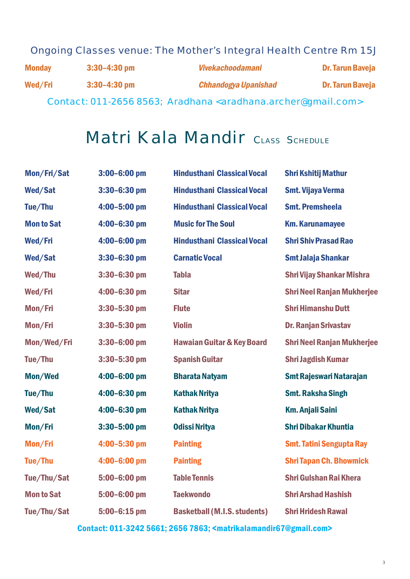# Ongoing Classes venue: The Mother's Integral Health Centre Rm 15J

| <b>Monday</b> | $3:30-4:30$ pm | Vivekachoodamani                                                                         | <b>Dr. Tarun Baveja</b> |  |
|---------------|----------------|------------------------------------------------------------------------------------------|-------------------------|--|
| Wed/Fri       | $3:30-4:30$ pm | Chhandogya Upanishad                                                                     | <b>Dr. Tarun Baveja</b> |  |
|               |                | Contact: 011-2656 8563; Aradhana <aradhana.archer@gmail.com></aradhana.archer@gmail.com> |                         |  |

# Matri Kala Mandir CLASS SCHEDULE

| Mon/Fri/Sat       | $3:00 - 6:00$ pm | <b>Hindusthani Classical Vocal</b>    | <b>Shri Kshitij Mathur</b>        |
|-------------------|------------------|---------------------------------------|-----------------------------------|
| Wed/Sat           | 3:30-6:30 pm     | <b>Hindusthani Classical Vocal</b>    | <b>Smt. Vijaya Verma</b>          |
| Tue/Thu           | 4:00-5:00 pm     | <b>Hindusthani Classical Vocal</b>    | <b>Smt. Premsheela</b>            |
| <b>Mon to Sat</b> | 4:00-6:30 pm     | <b>Music for The Soul</b>             | <b>Km. Karunamayee</b>            |
| Wed/Fri           | 4:00-6:00 pm     | <b>Hindusthani Classical Vocal</b>    | <b>Shri Shiv Prasad Rao</b>       |
| Wed/Sat           | $3:30-6:30$ pm   | <b>Carnatic Vocal</b>                 | <b>Smt Jalaja Shankar</b>         |
| Wed/Thu           | 3:30-6:30 pm     | <b>Tabla</b>                          | <b>Shri Vijay Shankar Mishra</b>  |
| Wed/Fri           | 4:00-6:30 pm     | <b>Sitar</b>                          | <b>Shri Neel Ranjan Mukherjee</b> |
| Mon/Fri           | $3:30 - 5:30$ pm | <b>Flute</b>                          | <b>Shri Himanshu Dutt</b>         |
| Mon/Fri           | $3:30 - 5:30$ pm | <b>Violin</b>                         | <b>Dr. Ranjan Srivastav</b>       |
| Mon/Wed/Fri       | 3:30-6:00 pm     | <b>Hawaian Guitar &amp; Key Board</b> | <b>Shri Neel Ranjan Mukherjee</b> |
| Tue/Thu           | $3:30 - 5:30$ pm | <b>Spanish Guitar</b>                 | <b>Shri Jagdish Kumar</b>         |
| Mon/Wed           | 4:00-6:00 pm     | <b>Bharata Natyam</b>                 | <b>Smt Rajeswari Natarajan</b>    |
| Tue/Thu           | 4:00-6:30 pm     | <b>Kathak Nritya</b>                  | <b>Smt. Raksha Singh</b>          |
| Wed/Sat           | 4:00-6:30 pm     | <b>Kathak Nritya</b>                  | <b>Km. Anjali Saini</b>           |
| Mon/Fri           | 3:30-5:00 pm     | <b>Odissi Nritya</b>                  | <b>Shri Dibakar Khuntia</b>       |
| Mon/Fri           | 4:00-5:30 pm     | <b>Painting</b>                       | <b>Smt. Tatini Sengupta Ray</b>   |
| Tue/Thu           | 4:00-6:00 pm     | <b>Painting</b>                       | <b>Shri Tapan Ch. Bhowmick</b>    |
| Tue/Thu/Sat       | 5:00-6:00 pm     | <b>Table Tennis</b>                   | <b>Shri Gulshan Rai Khera</b>     |
| <b>Mon to Sat</b> | 5:00-6:00 pm     | <b>Taekwondo</b>                      | <b>Shri Arshad Hashish</b>        |
| Tue/Thu/Sat       | 5:00-6:15 pm     | <b>Basketball (M.I.S. students)</b>   | <b>Shri Hridesh Rawal</b>         |

Contact: 011-3242 5661; 2656 7863; <matrikalamandir67@gmail.com>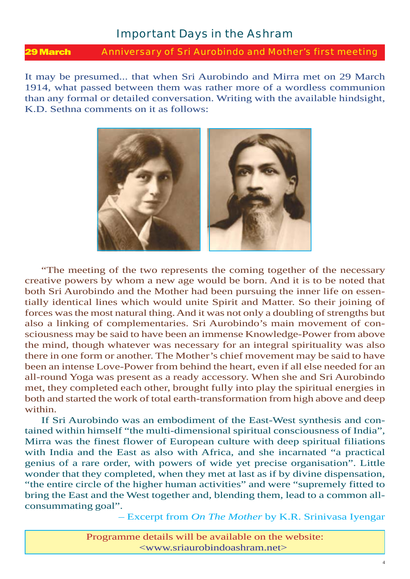## Important Days in the Ashram

#### 29 March Anniversary of Sri Aurobindo and Mother's first meeting

It may be presumed... that when Sri Aurobindo and Mirra met on 29 March 1914, what passed between them was rather more of a wordless communion than any formal or detailed conversation. Writing with the available hindsight, K.D. Sethna comments on it as follows:



"The meeting of the two represents the coming together of the necessary creative powers by whom a new age would be born. And it is to be noted that both Sri Aurobindo and the Mother had been pursuing the inner life on essentially identical lines which would unite Spirit and Matter. So their joining of forces was the most natural thing. And it was not only a doubling of strengths but also a linking of complementaries. Sri Aurobindo's main movement of consciousness may be said to have been an immense Knowledge-Power from above the mind, though whatever was necessary for an integral spirituality was also there in one form or another. The Mother's chief movement may be said to have been an intense Love-Power from behind the heart, even if all else needed for an all-round Yoga was present as a ready accessory. When she and Sri Aurobindo met, they completed each other, brought fully into play the spiritual energies in both and started the work of total earth-transformation from high above and deep within.

If Sri Aurobindo was an embodiment of the East-West synthesis and contained within himself "the multi-dimensional spiritual consciousness of India", Mirra was the finest flower of European culture with deep spiritual filiations with India and the East as also with Africa, and she incarnated "a practical genius of a rare order, with powers of wide yet precise organisation". Little wonder that they completed, when they met at last as if by divine dispensation, "the entire circle of the higher human activities" and were "supremely fitted to bring the East and the West together and, blending them, lead to a common allconsummating goal".

– Excerpt from *On The Mother* by K.R. Srinivasa Iyengar

Programme details will be available on the website: <www.sriaurobindoashram.net>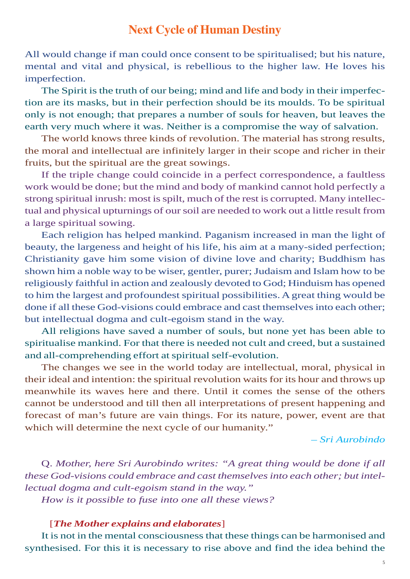#### **Next Cycle of Human Destiny**

All would change if man could once consent to be spiritualised; but his nature, mental and vital and physical, is rebellious to the higher law. He loves his imperfection.

The Spirit is the truth of our being; mind and life and body in their imperfection are its masks, but in their perfection should be its moulds. To be spiritual only is not enough; that prepares a number of souls for heaven, but leaves the earth very much where it was. Neither is a compromise the way of salvation.

The world knows three kinds of revolution. The material has strong results, the moral and intellectual are infinitely larger in their scope and richer in their fruits, but the spiritual are the great sowings.

If the triple change could coincide in a perfect correspondence, a faultless work would be done; but the mind and body of mankind cannot hold perfectly a strong spiritual inrush: most is spilt, much of the rest is corrupted. Many intellectual and physical upturnings of our soil are needed to work out a little result from a large spiritual sowing.

Each religion has helped mankind. Paganism increased in man the light of beauty, the largeness and height of his life, his aim at a many-sided perfection; Christianity gave him some vision of divine love and charity; Buddhism has shown him a noble way to be wiser, gentler, purer; Judaism and Islam how to be religiously faithful in action and zealously devoted to God; Hinduism has opened to him the largest and profoundest spiritual possibilities. A great thing would be done if all these God-visions could embrace and cast themselves into each other; but intellectual dogma and cult-egoism stand in the way.

All religions have saved a number of souls, but none yet has been able to spiritualise mankind. For that there is needed not cult and creed, but a sustained and all-comprehending effort at spiritual self-evolution.

The changes we see in the world today are intellectual, moral, physical in their ideal and intention: the spiritual revolution waits for its hour and throws up meanwhile its waves here and there. Until it comes the sense of the others cannot be understood and till then all interpretations of present happening and forecast of man's future are vain things. For its nature, power, event are that which will determine the next cycle of our humanity."

– *Sri Aurobindo*

Q. *Mother, here Sri Aurobindo writes: "A great thing would be done if all these God-visions could embrace and cast themselves into each other; but intellectual dogma and cult-egoism stand in the way."*

*How is it possible to fuse into one all these views?*

#### [*The Mother explains and elaborates*]

It is not in the mental consciousness that these things can be harmonised and synthesised. For this it is necessary to rise above and find the idea behind the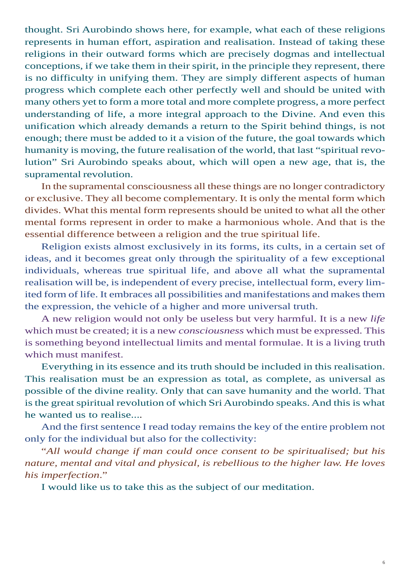thought. Sri Aurobindo shows here, for example, what each of these religions represents in human effort, aspiration and realisation. Instead of taking these religions in their outward forms which are precisely dogmas and intellectual conceptions, if we take them in their spirit, in the principle they represent, there is no difficulty in unifying them. They are simply different aspects of human progress which complete each other perfectly well and should be united with many others yet to form a more total and more complete progress, a more perfect understanding of life, a more integral approach to the Divine. And even this unification which already demands a return to the Spirit behind things, is not enough; there must be added to it a vision of the future, the goal towards which humanity is moving, the future realisation of the world, that last "spiritual revolution" Sri Aurobindo speaks about, which will open a new age, that is, the supramental revolution.

In the supramental consciousness all these things are no longer contradictory or exclusive. They all become complementary. It is only the mental form which divides. What this mental form represents should be united to what all the other mental forms represent in order to make a harmonious whole. And that is the essential difference between a religion and the true spiritual life.

Religion exists almost exclusively in its forms, its cults, in a certain set of ideas, and it becomes great only through the spirituality of a few exceptional individuals, whereas true spiritual life, and above all what the supramental realisation will be, is independent of every precise, intellectual form, every limited form of life. It embraces all possibilities and manifestations and makes them the expression, the vehicle of a higher and more universal truth.

A new religion would not only be useless but very harmful. It is a new *life* which must be created; it is a new *consciousness* which must be expressed. This is something beyond intellectual limits and mental formulae. It is a living truth which must manifest.

Everything in its essence and its truth should be included in this realisation. This realisation must be an expression as total, as complete, as universal as possible of the divine reality. Only that can save humanity and the world. That is the great spiritual revolution of which Sri Aurobindo speaks. And this is what he wanted us to realise...*.*

And the first sentence I read today remains the key of the entire problem not only for the individual but also for the collectivity:

"*All would change if man could once consent to be spiritualised; but his nature, mental and vital and physical, is rebellious to the higher law. He loves his imperfection*."

I would like us to take this as the subject of our meditation.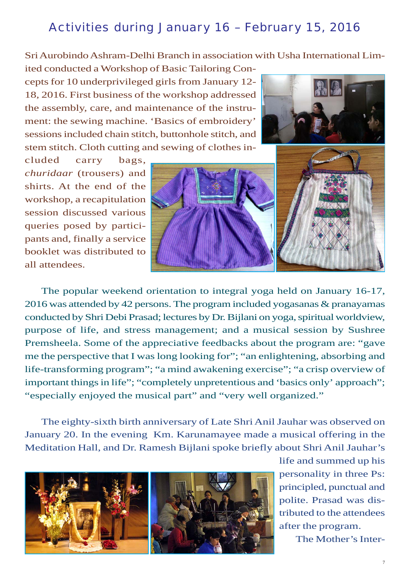# Activities during January 16 – February 15, 2016

Sri Aurobindo Ashram-Delhi Branch in association with Usha International Lim-

ited conducted a Workshop of Basic Tailoring Concepts for 10 underprivileged girls from January 12- 18, 2016. First business of the workshop addressed the assembly, care, and maintenance of the instrument: the sewing machine. 'Basics of embroidery' sessions included chain stitch, buttonhole stitch, and stem stitch. Cloth cutting and sewing of clothes in-



cluded carry bags, *churidaar* (trousers) and shirts. At the end of the workshop, a recapitulation session discussed various queries posed by participants and, finally a service booklet was distributed to all attendees.



The popular weekend orientation to integral yoga held on January 16-17, 2016 was attended by 42 persons. The program included yogasanas & pranayamas conducted by Shri Debi Prasad; lectures by Dr. Bijlani on yoga, spiritual worldview, purpose of life, and stress management; and a musical session by Sushree Premsheela. Some of the appreciative feedbacks about the program are: "gave me the perspective that I was long looking for"; "an enlightening, absorbing and life-transforming program"; "a mind awakening exercise"; "a crisp overview of important things in life"; "completely unpretentious and 'basics only' approach"; "especially enjoyed the musical part" and "very well organized."

The eighty-sixth birth anniversary of Late Shri Anil Jauhar was observed on January 20. In the evening Km. Karunamayee made a musical offering in the Meditation Hall, and Dr. Ramesh Bijlani spoke briefly about Shri Anil Jauhar's



life and summed up his personality in three Ps: principled, punctual and polite. Prasad was distributed to the attendees after the program.

The Mother's Inter-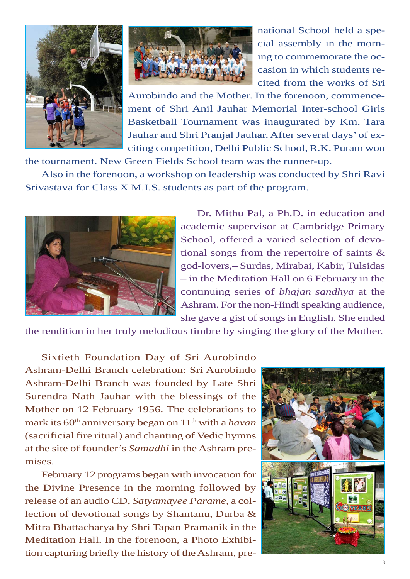



national School held a special assembly in the morning to commemorate the occasion in which students recited from the works of Sri

Aurobindo and the Mother. In the forenoon, commencement of Shri Anil Jauhar Memorial Inter-school Girls Basketball Tournament was inaugurated by Km. Tara Jauhar and Shri Pranjal Jauhar. After several days' of exciting competition, Delhi Public School, R.K. Puram won

the tournament. New Green Fields School team was the runner-up.

Also in the forenoon, a workshop on leadership was conducted by Shri Ravi Srivastava for Class X M.I.S. students as part of the program.



Dr. Mithu Pal, a Ph.D. in education and academic supervisor at Cambridge Primary School, offered a varied selection of devotional songs from the repertoire of saints & god-lovers,– Surdas, Mirabai, Kabir, Tulsidas – in the Meditation Hall on 6 February in the continuing series of *bhajan sandhya* at the Ashram. For the non-Hindi speaking audience, she gave a gist of songs in English. She ended

the rendition in her truly melodious timbre by singing the glory of the Mother.

Sixtieth Foundation Day of Sri Aurobindo Ashram-Delhi Branch celebration: Sri Aurobindo Ashram-Delhi Branch was founded by Late Shri Surendra Nath Jauhar with the blessings of the Mother on 12 February 1956. The celebrations to mark its 60<sup>th</sup> anniversary began on 11<sup>th</sup> with a *havan* (sacrificial fire ritual) and chanting of Vedic hymns at the site of founder's *Samadhi* in the Ashram premises.

February 12 programs began with invocation for the Divine Presence in the morning followed by release of an audio CD, *Satyamayee Parame*, a collection of devotional songs by Shantanu, Durba & Mitra Bhattacharya by Shri Tapan Pramanik in the Meditation Hall. In the forenoon, a Photo Exhibition capturing briefly the history of the Ashram, pre-

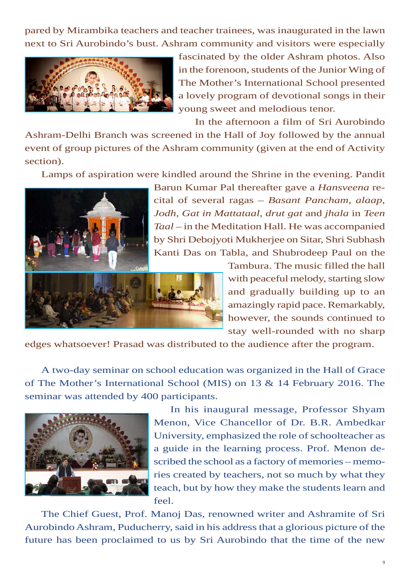pared by Mirambika teachers and teacher trainees, was inaugurated in the lawn next to Sri Aurobindo's bust. Ashram community and visitors were especially



fascinated by the older Ashram photos. Also in the forenoon, students of the Junior Wing of The Mother's International School presented a lovely program of devotional songs in their young sweet and melodious tenor.

In the afternoon a film of Sri Aurobindo

Ashram-Delhi Branch was screened in the Hall of Joy followed by the annual event of group pictures of the Ashram community (given at the end of Activity section).

Lamps of aspiration were kindled around the Shrine in the evening. Pandit



Barun Kumar Pal thereafter gave a *Hansveena* recital of several ragas – *Basant Pancham*, *alaap*, *Jodh*, *Gat in Mattataal*, *drut gat* and *jhala* in *Teen Taal* – in the Meditation Hall. He was accompanied by Shri Debojyoti Mukherjee on Sitar, Shri Subhash Kanti Das on Tabla, and Shubrodeep Paul on the

> Tambura. The music filled the hall with peaceful melody, starting slow and gradually building up to an amazingly rapid pace. Remarkably, however, the sounds continued to stay well-rounded with no sharp

edges whatsoever! Prasad was distributed to the audience after the program.

A two-day seminar on school education was organized in the Hall of Grace of The Mother's International School (MIS) on 13 & 14 February 2016. The seminar was attended by 400 participants.



In his inaugural message, Professor Shyam Menon, Vice Chancellor of Dr. B.R. Ambedkar University, emphasized the role of schoolteacher as a guide in the learning process. Prof. Menon described the school as a factory of memories – memories created by teachers, not so much by what they teach, but by how they make the students learn and feel.

The Chief Guest, Prof. Manoj Das, renowned writer and Ashramite of Sri Aurobindo Ashram, Puducherry, said in his address that a glorious picture of the future has been proclaimed to us by Sri Aurobindo that the time of the new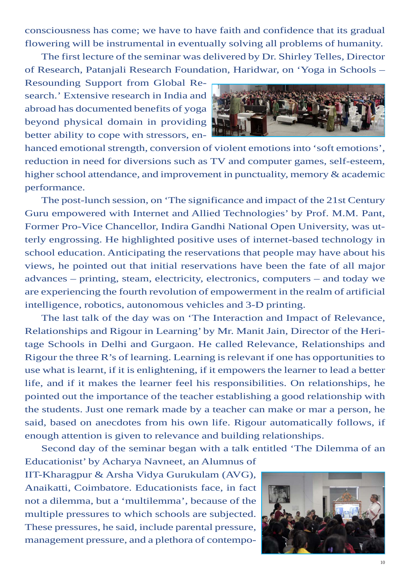consciousness has come; we have to have faith and confidence that its gradual flowering will be instrumental in eventually solving all problems of humanity.

The first lecture of the seminar was delivered by Dr. Shirley Telles, Director of Research, Patanjali Research Foundation, Haridwar, on 'Yoga in Schools –

Resounding Support from Global Research.' Extensive research in India and abroad has documented benefits of yoga beyond physical domain in providing  $\Box$ better ability to cope with stressors, en-



hanced emotional strength, conversion of violent emotions into 'soft emotions', reduction in need for diversions such as TV and computer games, self-esteem, higher school attendance, and improvement in punctuality, memory & academic performance.

The post-lunch session, on 'The significance and impact of the 21st Century Guru empowered with Internet and Allied Technologies' by Prof. M.M. Pant, Former Pro-Vice Chancellor, Indira Gandhi National Open University, was utterly engrossing. He highlighted positive uses of internet-based technology in school education. Anticipating the reservations that people may have about his views, he pointed out that initial reservations have been the fate of all major advances – printing, steam, electricity, electronics, computers – and today we are experiencing the fourth revolution of empowerment in the realm of artificial intelligence, robotics, autonomous vehicles and 3-D printing.

The last talk of the day was on 'The Interaction and Impact of Relevance, Relationships and Rigour in Learning' by Mr. Manit Jain, Director of the Heritage Schools in Delhi and Gurgaon. He called Relevance, Relationships and Rigour the three R's of learning. Learning is relevant if one has opportunities to use what is learnt, if it is enlightening, if it empowers the learner to lead a better life, and if it makes the learner feel his responsibilities. On relationships, he pointed out the importance of the teacher establishing a good relationship with the students. Just one remark made by a teacher can make or mar a person, he said, based on anecdotes from his own life. Rigour automatically follows, if enough attention is given to relevance and building relationships.

Second day of the seminar began with a talk entitled 'The Dilemma of an Educationist' by Acharya Navneet, an Alumnus of

IIT-Kharagpur & Arsha Vidya Gurukulam (AVG), Anaikatti, Coimbatore. Educationists face, in fact not a dilemma, but a 'multilemma', because of the multiple pressures to which schools are subjected. These pressures, he said, include parental pressure, management pressure, and a plethora of contempo-

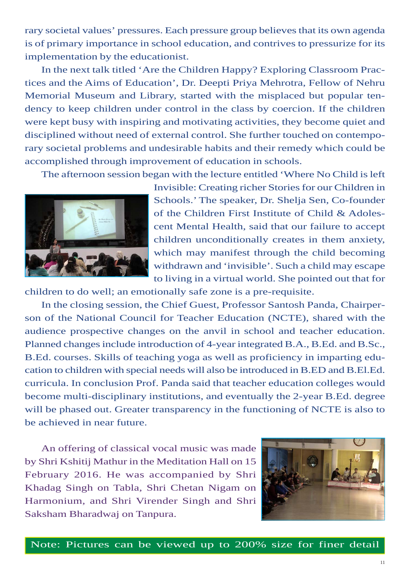rary societal values' pressures. Each pressure group believes that its own agenda is of primary importance in school education, and contrives to pressurize for its implementation by the educationist.

In the next talk titled 'Are the Children Happy? Exploring Classroom Practices and the Aims of Education', Dr. Deepti Priya Mehrotra, Fellow of Nehru Memorial Museum and Library, started with the misplaced but popular tendency to keep children under control in the class by coercion. If the children were kept busy with inspiring and motivating activities, they become quiet and disciplined without need of external control. She further touched on contemporary societal problems and undesirable habits and their remedy which could be accomplished through improvement of education in schools.

The afternoon session began with the lecture entitled 'Where No Child is left



Invisible: Creating richer Stories for our Children in Schools.' The speaker, Dr. Shelja Sen, Co-founder of the Children First Institute of Child & Adolescent Mental Health, said that our failure to accept children unconditionally creates in them anxiety, which may manifest through the child becoming withdrawn and 'invisible'. Such a child may escape to living in a virtual world. She pointed out that for

children to do well; an emotionally safe zone is a pre-requisite.

In the closing session, the Chief Guest, Professor Santosh Panda, Chairperson of the National Council for Teacher Education (NCTE), shared with the audience prospective changes on the anvil in school and teacher education. Planned changes include introduction of 4-year integrated B.A., B.Ed. and B.Sc., B.Ed. courses. Skills of teaching yoga as well as proficiency in imparting education to children with special needs will also be introduced in B.ED and B.El.Ed. curricula. In conclusion Prof. Panda said that teacher education colleges would become multi-disciplinary institutions, and eventually the 2-year B.Ed. degree will be phased out. Greater transparency in the functioning of NCTE is also to be achieved in near future.

An offering of classical vocal music was made by Shri Kshitij Mathur in the Meditation Hall on 15 February 2016. He was accompanied by Shri Khadag Singh on Tabla, Shri Chetan Nigam on Harmonium, and Shri Virender Singh and Shri Saksham Bharadwaj on Tanpura.



Note: Pictures can be viewed up to 200% size for finer detail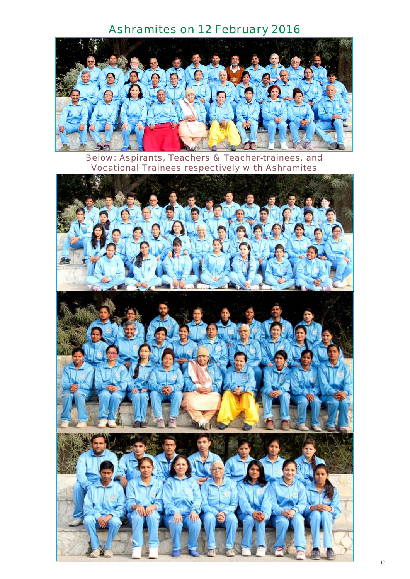# Ashramites on 12 February 2016



Below: Aspirants, Teachers & Teacher-trainees, and Vocational Trainees respectively with Ashramites

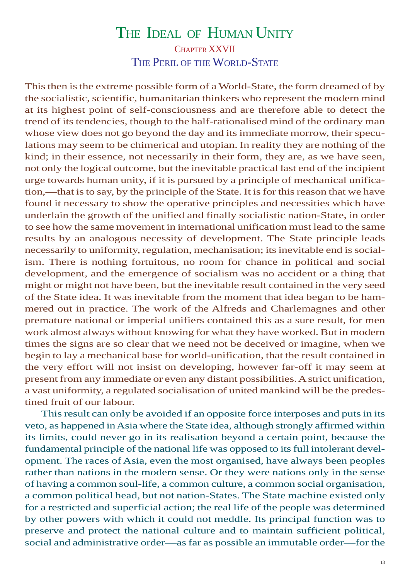# THE IDEAL OF HUMAN UNITY CHAPTER XXVII THE PERIL OF THE WORLD-STATE

This then is the extreme possible form of a World-State, the form dreamed of by the socialistic, scientific, humanitarian thinkers who represent the modern mind at its highest point of self-consciousness and are therefore able to detect the trend of its tendencies, though to the half-rationalised mind of the ordinary man whose view does not go beyond the day and its immediate morrow, their speculations may seem to be chimerical and utopian. In reality they are nothing of the kind; in their essence, not necessarily in their form, they are, as we have seen, not only the logical outcome, but the inevitable practical last end of the incipient urge towards human unity, if it is pursued by a principle of mechanical unification,—that is to say, by the principle of the State. It is for this reason that we have found it necessary to show the operative principles and necessities which have underlain the growth of the unified and finally socialistic nation-State, in order to see how the same movement in international unification must lead to the same results by an analogous necessity of development. The State principle leads necessarily to uniformity, regulation, mechanisation; its inevitable end is socialism. There is nothing fortuitous, no room for chance in political and social development, and the emergence of socialism was no accident or a thing that might or might not have been, but the inevitable result contained in the very seed of the State idea. It was inevitable from the moment that idea began to be hammered out in practice. The work of the Alfreds and Charlemagnes and other premature national or imperial unifiers contained this as a sure result, for men work almost always without knowing for what they have worked. But in modern times the signs are so clear that we need not be deceived or imagine, when we begin to lay a mechanical base for world-unification, that the result contained in the very effort will not insist on developing, however far-off it may seem at present from any immediate or even any distant possibilities. A strict unification, a vast uniformity, a regulated socialisation of united mankind will be the predestined fruit of our labour.

This result can only be avoided if an opposite force interposes and puts in its veto, as happened in Asia where the State idea, although strongly affirmed within its limits, could never go in its realisation beyond a certain point, because the fundamental principle of the national life was opposed to its full intolerant development. The races of Asia, even the most organised, have always been peoples rather than nations in the modern sense. Or they were nations only in the sense of having a common soul-life, a common culture, a common social organisation, a common political head, but not nation-States. The State machine existed only for a restricted and superficial action; the real life of the people was determined by other powers with which it could not meddle. Its principal function was to preserve and protect the national culture and to maintain sufficient political, social and administrative order—as far as possible an immutable order—for the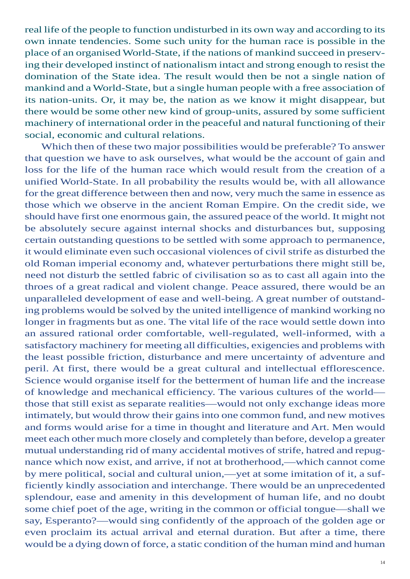real life of the people to function undisturbed in its own way and according to its own innate tendencies. Some such unity for the human race is possible in the place of an organised World-State, if the nations of mankind succeed in preserving their developed instinct of nationalism intact and strong enough to resist the domination of the State idea. The result would then be not a single nation of mankind and a World-State, but a single human people with a free association of its nation-units. Or, it may be, the nation as we know it might disappear, but there would be some other new kind of group-units, assured by some sufficient machinery of international order in the peaceful and natural functioning of their social, economic and cultural relations.

Which then of these two major possibilities would be preferable? To answer that question we have to ask ourselves, what would be the account of gain and loss for the life of the human race which would result from the creation of a unified World-State. In all probability the results would be, with all allowance for the great difference between then and now, very much the same in essence as those which we observe in the ancient Roman Empire. On the credit side, we should have first one enormous gain, the assured peace of the world. It might not be absolutely secure against internal shocks and disturbances but, supposing certain outstanding questions to be settled with some approach to permanence, it would eliminate even such occasional violences of civil strife as disturbed the old Roman imperial economy and, whatever perturbations there might still be, need not disturb the settled fabric of civilisation so as to cast all again into the throes of a great radical and violent change. Peace assured, there would be an unparalleled development of ease and well-being. A great number of outstanding problems would be solved by the united intelligence of mankind working no longer in fragments but as one. The vital life of the race would settle down into an assured rational order comfortable, well-regulated, well-informed, with a satisfactory machinery for meeting all difficulties, exigencies and problems with the least possible friction, disturbance and mere uncertainty of adventure and peril. At first, there would be a great cultural and intellectual efflorescence. Science would organise itself for the betterment of human life and the increase of knowledge and mechanical efficiency. The various cultures of the world those that still exist as separate realities—would not only exchange ideas more intimately, but would throw their gains into one common fund, and new motives and forms would arise for a time in thought and literature and Art. Men would meet each other much more closely and completely than before, develop a greater mutual understanding rid of many accidental motives of strife, hatred and repugnance which now exist, and arrive, if not at brotherhood,—which cannot come by mere political, social and cultural union,—yet at some imitation of it, a sufficiently kindly association and interchange. There would be an unprecedented splendour, ease and amenity in this development of human life, and no doubt some chief poet of the age, writing in the common or official tongue—shall we say, Esperanto?—would sing confidently of the approach of the golden age or even proclaim its actual arrival and eternal duration. But after a time, there would be a dying down of force, a static condition of the human mind and human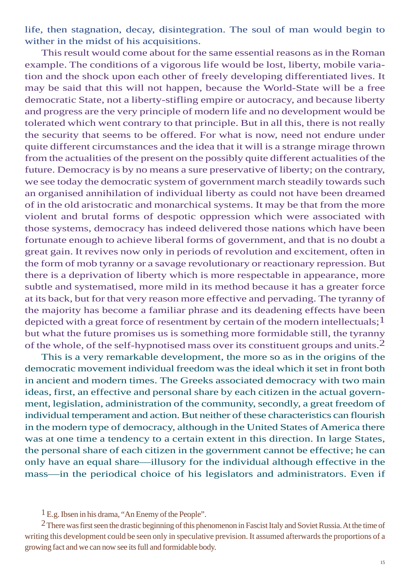life, then stagnation, decay, disintegration. The soul of man would begin to wither in the midst of his acquisitions.

This result would come about for the same essential reasons as in the Roman example. The conditions of a vigorous life would be lost, liberty, mobile variation and the shock upon each other of freely developing differentiated lives. It may be said that this will not happen, because the World-State will be a free democratic State, not a liberty-stifling empire or autocracy, and because liberty and progress are the very principle of modern life and no development would be tolerated which went contrary to that principle. But in all this, there is not really the security that seems to be offered. For what is now, need not endure under quite different circumstances and the idea that it will is a strange mirage thrown from the actualities of the present on the possibly quite different actualities of the future. Democracy is by no means a sure preservative of liberty; on the contrary, we see today the democratic system of government march steadily towards such an organised annihilation of individual liberty as could not have been dreamed of in the old aristocratic and monarchical systems. It may be that from the more violent and brutal forms of despotic oppression which were associated with those systems, democracy has indeed delivered those nations which have been fortunate enough to achieve liberal forms of government, and that is no doubt a great gain. It revives now only in periods of revolution and excitement, often in the form of mob tyranny or a savage revolutionary or reactionary repression. But there is a deprivation of liberty which is more respectable in appearance, more subtle and systematised, more mild in its method because it has a greater force at its back, but for that very reason more effective and pervading. The tyranny of the majority has become a familiar phrase and its deadening effects have been depicted with a great force of resentment by certain of the modern intellectuals;  $1$ but what the future promises us is something more formidable still, the tyranny of the whole, of the self-hypnotised mass over its constituent groups and units.2

This is a very remarkable development, the more so as in the origins of the democratic movement individual freedom was the ideal which it set in front both in ancient and modern times. The Greeks associated democracy with two main ideas, first, an effective and personal share by each citizen in the actual government, legislation, administration of the community, secondly, a great freedom of individual temperament and action. But neither of these characteristics can flourish in the modern type of democracy, although in the United States of America there was at one time a tendency to a certain extent in this direction. In large States, the personal share of each citizen in the government cannot be effective; he can only have an equal share—illusory for the individual although effective in the mass—in the periodical choice of his legislators and administrators. Even if

 $<sup>1</sup>$  E.g. Ibsen in his drama, "An Enemy of the People".</sup>

<sup>2</sup> There was first seen the drastic beginning of this phenomenon in Fascist Italy and Soviet Russia. At the time of writing this development could be seen only in speculative prevision. It assumed afterwards the proportions of a growing fact and we can now see its full and formidable body.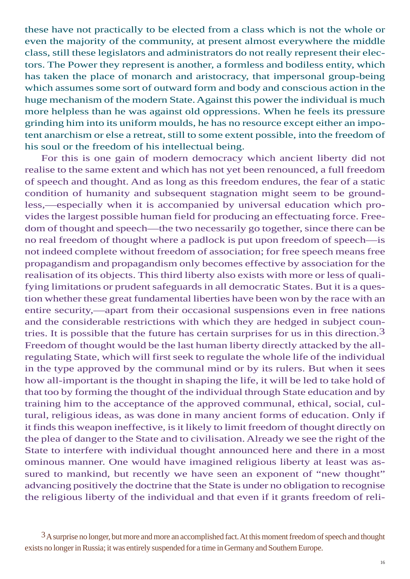these have not practically to be elected from a class which is not the whole or even the majority of the community, at present almost everywhere the middle class, still these legislators and administrators do not really represent their electors. The Power they represent is another, a formless and bodiless entity, which has taken the place of monarch and aristocracy, that impersonal group-being which assumes some sort of outward form and body and conscious action in the huge mechanism of the modern State. Against this power the individual is much more helpless than he was against old oppressions. When he feels its pressure grinding him into its uniform moulds, he has no resource except either an impotent anarchism or else a retreat, still to some extent possible, into the freedom of his soul or the freedom of his intellectual being.

For this is one gain of modern democracy which ancient liberty did not realise to the same extent and which has not yet been renounced, a full freedom of speech and thought. And as long as this freedom endures, the fear of a static condition of humanity and subsequent stagnation might seem to be groundless,—especially when it is accompanied by universal education which provides the largest possible human field for producing an effectuating force. Freedom of thought and speech—the two necessarily go together, since there can be no real freedom of thought where a padlock is put upon freedom of speech—is not indeed complete without freedom of association; for free speech means free propagandism and propagandism only becomes effective by association for the realisation of its objects. This third liberty also exists with more or less of qualifying limitations or prudent safeguards in all democratic States. But it is a question whether these great fundamental liberties have been won by the race with an entire security,—apart from their occasional suspensions even in free nations and the considerable restrictions with which they are hedged in subject countries. It is possible that the future has certain surprises for us in this direction.<sup>3</sup> Freedom of thought would be the last human liberty directly attacked by the allregulating State, which will first seek to regulate the whole life of the individual in the type approved by the communal mind or by its rulers. But when it sees how all-important is the thought in shaping the life, it will be led to take hold of that too by forming the thought of the individual through State education and by training him to the acceptance of the approved communal, ethical, social, cultural, religious ideas, as was done in many ancient forms of education. Only if it finds this weapon ineffective, is it likely to limit freedom of thought directly on the plea of danger to the State and to civilisation. Already we see the right of the State to interfere with individual thought announced here and there in a most ominous manner. One would have imagined religious liberty at least was assured to mankind, but recently we have seen an exponent of "new thought" advancing positively the doctrine that the State is under no obligation to recognise the religious liberty of the individual and that even if it grants freedom of reli-

<sup>&</sup>lt;sup>3</sup> A surprise no longer, but more and more an accomplished fact. At this moment freedom of speech and thought exists no longer in Russia; it was entirely suspended for a time in Germany and Southern Europe.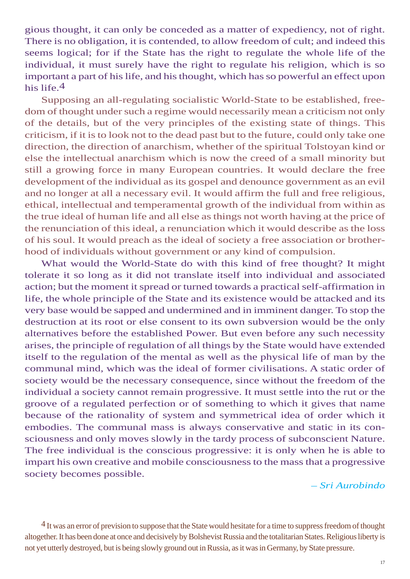gious thought, it can only be conceded as a matter of expediency, not of right. There is no obligation, it is contended, to allow freedom of cult; and indeed this seems logical; for if the State has the right to regulate the whole life of the individual, it must surely have the right to regulate his religion, which is so important a part of his life, and his thought, which has so powerful an effect upon his life.4

Supposing an all-regulating socialistic World-State to be established, freedom of thought under such a regime would necessarily mean a criticism not only of the details, but of the very principles of the existing state of things. This criticism, if it is to look not to the dead past but to the future, could only take one direction, the direction of anarchism, whether of the spiritual Tolstoyan kind or else the intellectual anarchism which is now the creed of a small minority but still a growing force in many European countries. It would declare the free development of the individual as its gospel and denounce government as an evil and no longer at all a necessary evil. It would affirm the full and free religious, ethical, intellectual and temperamental growth of the individual from within as the true ideal of human life and all else as things not worth having at the price of the renunciation of this ideal, a renunciation which it would describe as the loss of his soul. It would preach as the ideal of society a free association or brotherhood of individuals without government or any kind of compulsion.

What would the World-State do with this kind of free thought? It might tolerate it so long as it did not translate itself into individual and associated action; but the moment it spread or turned towards a practical self-affirmation in life, the whole principle of the State and its existence would be attacked and its very base would be sapped and undermined and in imminent danger. To stop the destruction at its root or else consent to its own subversion would be the only alternatives before the established Power. But even before any such necessity arises, the principle of regulation of all things by the State would have extended itself to the regulation of the mental as well as the physical life of man by the communal mind, which was the ideal of former civilisations. A static order of society would be the necessary consequence, since without the freedom of the individual a society cannot remain progressive. It must settle into the rut or the groove of a regulated perfection or of something to which it gives that name because of the rationality of system and symmetrical idea of order which it embodies. The communal mass is always conservative and static in its consciousness and only moves slowly in the tardy process of subconscient Nature. The free individual is the conscious progressive: it is only when he is able to impart his own creative and mobile consciousness to the mass that a progressive society becomes possible.

#### – *Sri Aurobindo*

<sup>4</sup> It was an error of prevision to suppose that the State would hesitate for a time to suppress freedom of thought altogether. It has been done at once and decisively by Bolshevist Russia and the totalitarian States. Religious liberty is not yet utterly destroyed, but is being slowly ground out in Russia, as it was in Germany, by State pressure.